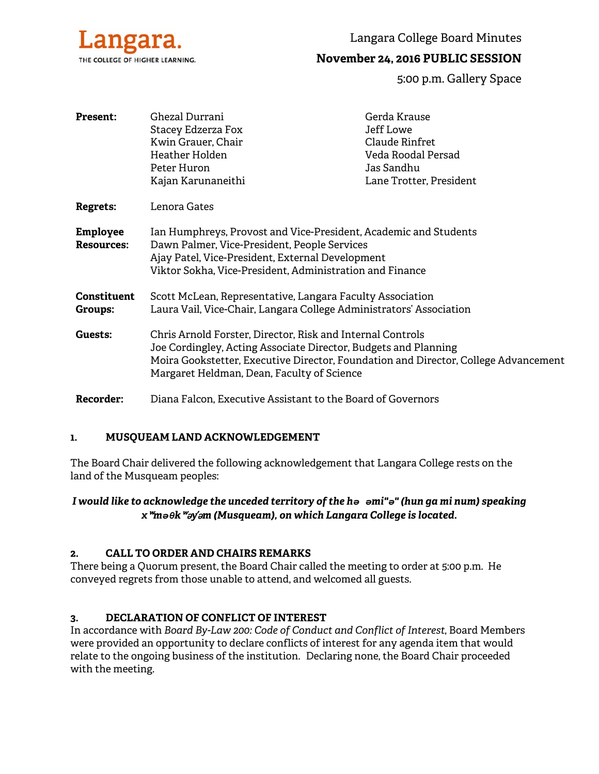

Langara College Board Minutes

# **November 24, 2016 PUBLIC SESSION**

5:00 p.m. Gallery Space

| <b>Present:</b>                      | Ghezal Durrani<br>Stacey Edzerza Fox<br>Kwin Grauer, Chair<br>Heather Holden<br>Peter Huron<br>Kajan Karunaneithi                                                                                                                                                  | Gerda Krause<br>Jeff Lowe<br>Claude Rinfret<br>Veda Roodal Persad<br>Jas Sandhu<br>Lane Trotter, President |
|--------------------------------------|--------------------------------------------------------------------------------------------------------------------------------------------------------------------------------------------------------------------------------------------------------------------|------------------------------------------------------------------------------------------------------------|
| <b>Regrets:</b>                      | Lenora Gates                                                                                                                                                                                                                                                       |                                                                                                            |
| <b>Employee</b><br><b>Resources:</b> | Ian Humphreys, Provost and Vice-President, Academic and Students<br>Dawn Palmer, Vice-President, People Services<br>Ajay Patel, Vice-President, External Development<br>Viktor Sokha, Vice-President, Administration and Finance                                   |                                                                                                            |
| Constituent<br>Groups:               | Scott McLean, Representative, Langara Faculty Association<br>Laura Vail, Vice-Chair, Langara College Administrators' Association                                                                                                                                   |                                                                                                            |
| Guests:                              | Chris Arnold Forster, Director, Risk and Internal Controls<br>Joe Cordingley, Acting Associate Director, Budgets and Planning<br>Moira Gookstetter, Executive Director, Foundation and Director, College Advancement<br>Margaret Heldman, Dean, Faculty of Science |                                                                                                            |

**Recorder:** Diana Falcon, Executive Assistant to the Board of Governors

### **1. MUSQUEAM LAND ACKNOWLEDGEMENT**

The Board Chair delivered the following acknowledgement that Langara College rests on the land of the Musqueam peoples:

# *I would like to acknowledge the unceded territory of the hə əmi"ə" (hun ga mi num) speaking x*ʷ*məθk*ʷə*y*̓ə*m (Musqueam), on which Langara College is located.*

### **2. CALL TO ORDER AND CHAIRS REMARKS**

There being a Quorum present, the Board Chair called the meeting to order at 5:00 p.m. He conveyed regrets from those unable to attend, and welcomed all guests.

### **3. DECLARATION OF CONFLICT OF INTEREST**

In accordance with *Board By-Law 200: Code of Conduct and Conflict of Interest*, Board Members were provided an opportunity to declare conflicts of interest for any agenda item that would relate to the ongoing business of the institution. Declaring none, the Board Chair proceeded with the meeting.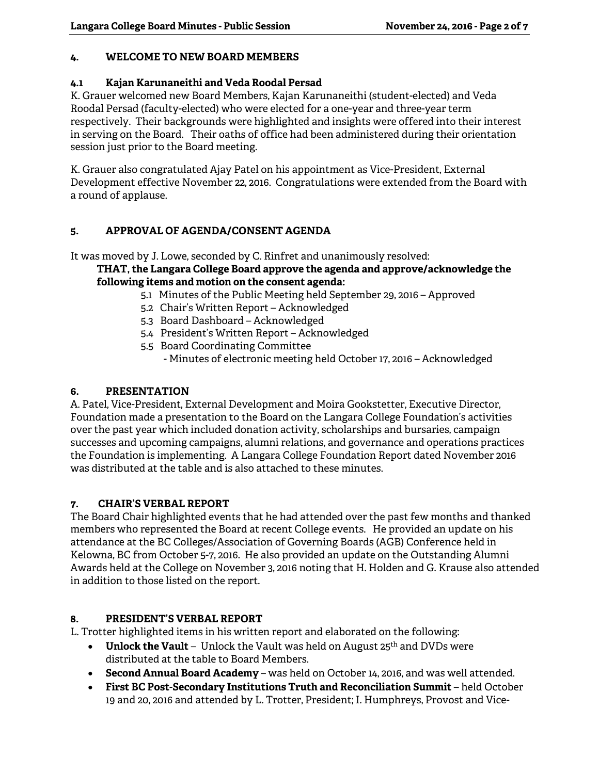### **4. WELCOME TO NEW BOARD MEMBERS**

## **4.1 Kajan Karunaneithi and Veda Roodal Persad**

K. Grauer welcomed new Board Members, Kajan Karunaneithi (student-elected) and Veda Roodal Persad (faculty-elected) who were elected for a one-year and three-year term respectively. Their backgrounds were highlighted and insights were offered into their interest in serving on the Board. Their oaths of office had been administered during their orientation session just prior to the Board meeting.

K. Grauer also congratulated Ajay Patel on his appointment as Vice-President, External Development effective November 22, 2016. Congratulations were extended from the Board with a round of applause.

# **5. APPROVAL OF AGENDA/CONSENT AGENDA**

It was moved by J. Lowe, seconded by C. Rinfret and unanimously resolved: **THAT, the Langara College Board approve the agenda and approve/acknowledge the** 

# **following items and motion on the consent agenda:**

- 5.1 Minutes of the Public Meeting held September 29, 2016 Approved
- 5.2 Chair's Written Report Acknowledged
- 5.3 Board Dashboard Acknowledged
- 5.4 President's Written Report Acknowledged
- 5.5 Board Coordinating Committee
	- Minutes of electronic meeting held October 17, 2016 Acknowledged

### **6. PRESENTATION**

A. Patel, Vice-President, External Development and Moira Gookstetter, Executive Director, Foundation made a presentation to the Board on the Langara College Foundation's activities over the past year which included donation activity, scholarships and bursaries, campaign successes and upcoming campaigns, alumni relations, and governance and operations practices the Foundation is implementing. A Langara College Foundation Report dated November 2016 was distributed at the table and is also attached to these minutes.

### **7. CHAIR'S VERBAL REPORT**

The Board Chair highlighted events that he had attended over the past few months and thanked members who represented the Board at recent College events. He provided an update on his attendance at the BC Colleges/Association of Governing Boards (AGB) Conference held in Kelowna, BC from October 5-7, 2016. He also provided an update on the Outstanding Alumni Awards held at the College on November 3, 2016 noting that H. Holden and G. Krause also attended in addition to those listed on the report.

### **8. PRESIDENT'S VERBAL REPORT**

L. Trotter highlighted items in his written report and elaborated on the following:

- **Unlock the Vault** Unlock the Vault was held on August 25<sup>th</sup> and DVDs were distributed at the table to Board Members.
- **Second Annual Board Academy**  was held on October 14, 2016, and was well attended.
- **First BC Post**-**Secondary Institutions Truth and Reconciliation Summit** held October 19 and 20, 2016 and attended by L. Trotter, President; I. Humphreys, Provost and Vice-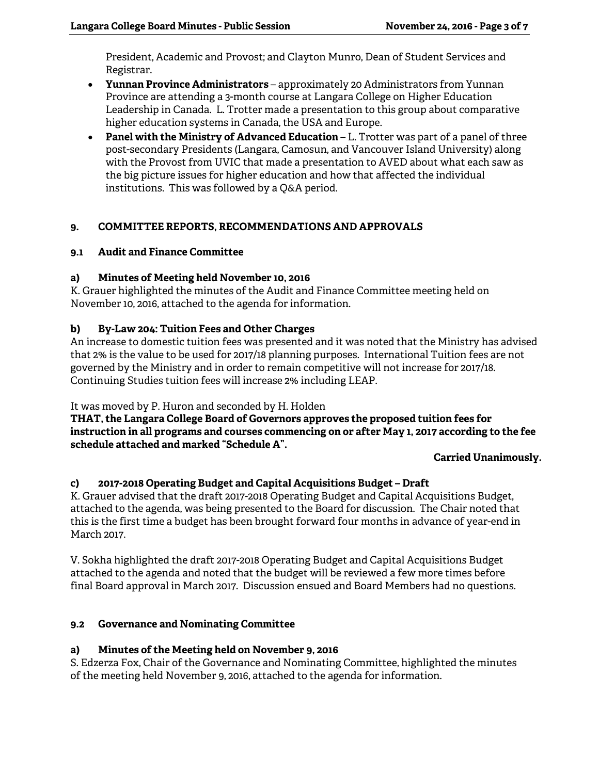President, Academic and Provost; and Clayton Munro, Dean of Student Services and Registrar.

- **Yunnan Province Administrators**  approximately 20 Administrators from Yunnan Province are attending a 3-month course at Langara College on Higher Education Leadership in Canada. L. Trotter made a presentation to this group about comparative higher education systems in Canada, the USA and Europe.
- **Panel with the Ministry of Advanced Education**  L. Trotter was part of a panel of three post-secondary Presidents (Langara, Camosun, and Vancouver Island University) along with the Provost from UVIC that made a presentation to AVED about what each saw as the big picture issues for higher education and how that affected the individual institutions. This was followed by a Q&A period.

# **9. COMMITTEE REPORTS, RECOMMENDATIONS AND APPROVALS**

### **9.1 Audit and Finance Committee**

### **a) Minutes of Meeting held November 10, 2016**

K. Grauer highlighted the minutes of the Audit and Finance Committee meeting held on November 10, 2016, attached to the agenda for information.

### **b) By-Law 204: Tuition Fees and Other Charges**

An increase to domestic tuition fees was presented and it was noted that the Ministry has advised that 2% is the value to be used for 2017/18 planning purposes. International Tuition fees are not governed by the Ministry and in order to remain competitive will not increase for 2017/18. Continuing Studies tuition fees will increase 2% including LEAP.

### It was moved by P. Huron and seconded by H. Holden

**THAT, the Langara College Board of Governors approves the proposed tuition fees for instruction in all programs and courses commencing on or after May 1, 2017 according to the fee schedule attached and marked "Schedule A".** 

#### **Carried Unanimously.**

### **c) 2017-2018 Operating Budget and Capital Acquisitions Budget – Draft**

K. Grauer advised that the draft 2017-2018 Operating Budget and Capital Acquisitions Budget, attached to the agenda, was being presented to the Board for discussion. The Chair noted that this is the first time a budget has been brought forward four months in advance of year-end in March 2017.

V. Sokha highlighted the draft 2017-2018 Operating Budget and Capital Acquisitions Budget attached to the agenda and noted that the budget will be reviewed a few more times before final Board approval in March 2017. Discussion ensued and Board Members had no questions.

### **9.2 Governance and Nominating Committee**

### **a) Minutes of the Meeting held on November 9, 2016**

S. Edzerza Fox, Chair of the Governance and Nominating Committee, highlighted the minutes of the meeting held November 9, 2016, attached to the agenda for information.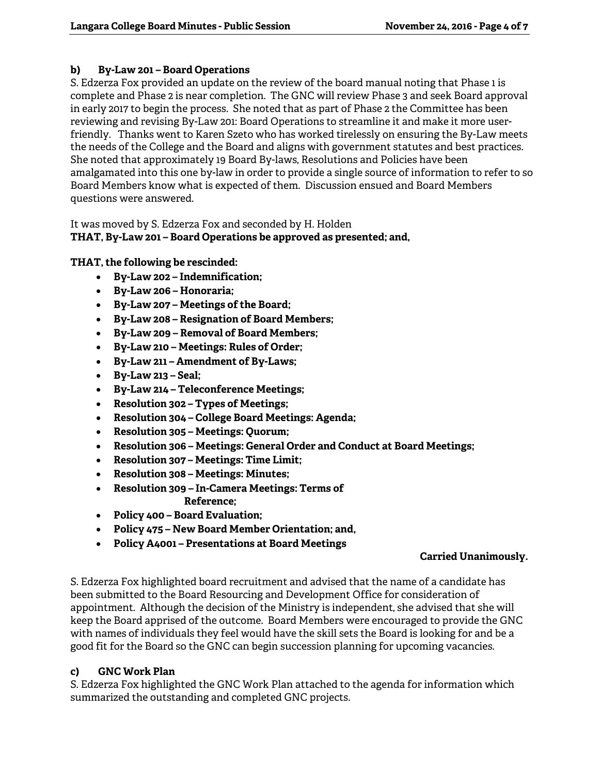# **b) By-Law 201 – Board Operations**

S. Edzerza Fox provided an update on the review of the board manual noting that Phase 1 is complete and Phase 2 is near completion. The GNC will review Phase 3 and seek Board approval in early 2017 to begin the process. She noted that as part of Phase 2 the Committee has been reviewing and revising By-Law 201: Board Operations to streamline it and make it more userfriendly. Thanks went to Karen Szeto who has worked tirelessly on ensuring the By-Law meets the needs of the College and the Board and aligns with government statutes and best practices. She noted that approximately 19 Board By-laws, Resolutions and Policies have been amalgamated into this one by-law in order to provide a single source of information to refer to so Board Members know what is expected of them. Discussion ensued and Board Members questions were answered.

# It was moved by S. Edzerza Fox and seconded by H. Holden **THAT, By-Law 201 – Board Operations be approved as presented; and,**

# **THAT, the following be rescinded:**

- **By-Law 202 Indemnification;**
- **By-Law 206 Honoraria;**
- **By-Law 207 Meetings of the Board;**
- **By-Law 208 Resignation of Board Members;**
- **By-Law 209 Removal of Board Members;**
- **By-Law 210 Meetings: Rules of Order;**
- **By-Law 211 Amendment of By-Laws;**
- **By-Law 213 Seal;**
- **By-Law 214 Teleconference Meetings;**
- **Resolution 302 Types of Meetings;**
- **Resolution 304 College Board Meetings: Agenda;**
- **Resolution 305 Meetings: Quorum;**
- **Resolution 306 Meetings: General Order and Conduct at Board Meetings;**
- **Resolution 307 Meetings: Time Limit;**
- **Resolution 308 Meetings: Minutes;**
- **Resolution 309 In-Camera Meetings: Terms of Reference;**
- **Policy 400 Board Evaluation;**
- **Policy 475 New Board Member Orientation; and,**
- **Policy A4001 Presentations at Board Meetings**

# **Carried Unanimously.**

S. Edzerza Fox highlighted board recruitment and advised that the name of a candidate has been submitted to the Board Resourcing and Development Office for consideration of appointment. Although the decision of the Ministry is independent, she advised that she will keep the Board apprised of the outcome. Board Members were encouraged to provide the GNC with names of individuals they feel would have the skill sets the Board is looking for and be a good fit for the Board so the GNC can begin succession planning for upcoming vacancies.

# **c) GNC Work Plan**

S. Edzerza Fox highlighted the GNC Work Plan attached to the agenda for information which summarized the outstanding and completed GNC projects.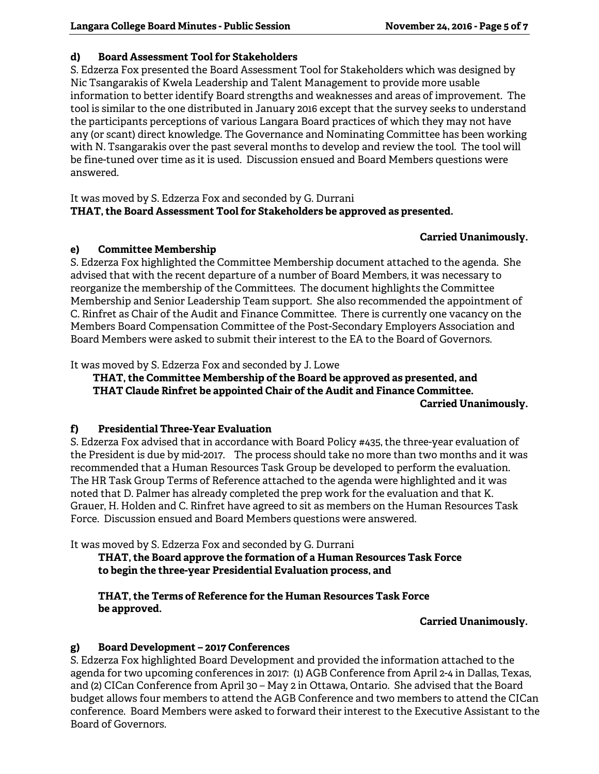# **d) Board Assessment Tool for Stakeholders**

S. Edzerza Fox presented the Board Assessment Tool for Stakeholders which was designed by Nic Tsangarakis of Kwela Leadership and Talent Management to provide more usable information to better identify Board strengths and weaknesses and areas of improvement. The tool is similar to the one distributed in January 2016 except that the survey seeks to understand the participants perceptions of various Langara Board practices of which they may not have any (or scant) direct knowledge. The Governance and Nominating Committee has been working with N. Tsangarakis over the past several months to develop and review the tool. The tool will be fine-tuned over time as it is used. Discussion ensued and Board Members questions were answered.

It was moved by S. Edzerza Fox and seconded by G. Durrani **THAT, the Board Assessment Tool for Stakeholders be approved as presented.** 

# **Carried Unanimously.**

### **e) Committee Membership**

S. Edzerza Fox highlighted the Committee Membership document attached to the agenda. She advised that with the recent departure of a number of Board Members, it was necessary to reorganize the membership of the Committees. The document highlights the Committee Membership and Senior Leadership Team support. She also recommended the appointment of C. Rinfret as Chair of the Audit and Finance Committee. There is currently one vacancy on the Members Board Compensation Committee of the Post-Secondary Employers Association and Board Members were asked to submit their interest to the EA to the Board of Governors.

It was moved by S. Edzerza Fox and seconded by J. Lowe

 **THAT, the Committee Membership of the Board be approved as presented, and THAT Claude Rinfret be appointed Chair of the Audit and Finance Committee. Carried Unanimously.** 

### **f) Presidential Three-Year Evaluation**

S. Edzerza Fox advised that in accordance with Board Policy #435, the three-year evaluation of the President is due by mid-2017. The process should take no more than two months and it was recommended that a Human Resources Task Group be developed to perform the evaluation. The HR Task Group Terms of Reference attached to the agenda were highlighted and it was noted that D. Palmer has already completed the prep work for the evaluation and that K. Grauer, H. Holden and C. Rinfret have agreed to sit as members on the Human Resources Task Force. Discussion ensued and Board Members questions were answered.

It was moved by S. Edzerza Fox and seconded by G. Durrani

**THAT, the Board approve the formation of a Human Resources Task Force to begin the three-year Presidential Evaluation process, and** 

 **THAT, the Terms of Reference for the Human Resources Task Force be approved.** 

### **Carried Unanimously.**

### **g) Board Development – 2017 Conferences**

S. Edzerza Fox highlighted Board Development and provided the information attached to the agenda for two upcoming conferences in 2017: (1) AGB Conference from April 2-4 in Dallas, Texas, and (2) CICan Conference from April 30 – May 2 in Ottawa, Ontario. She advised that the Board budget allows four members to attend the AGB Conference and two members to attend the CICan conference. Board Members were asked to forward their interest to the Executive Assistant to the Board of Governors.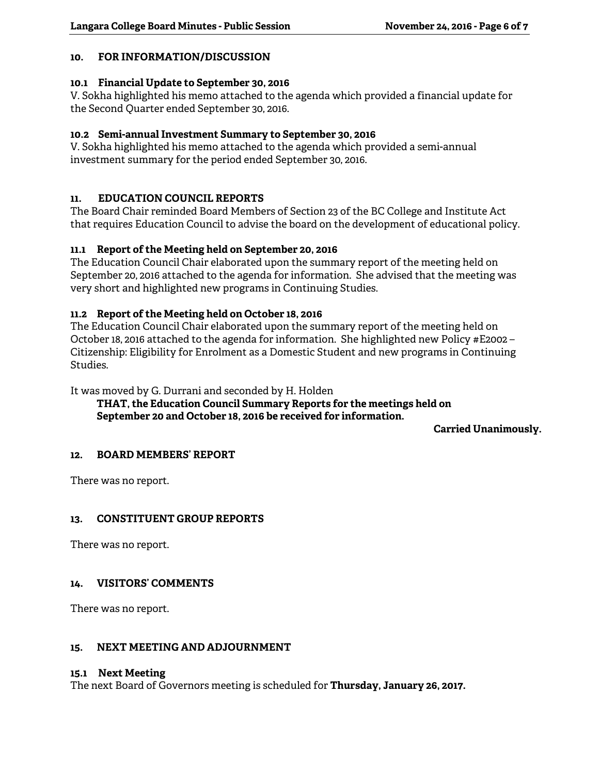## **10. FOR INFORMATION/DISCUSSION**

#### **10.1 Financial Update to September 30, 2016**

V. Sokha highlighted his memo attached to the agenda which provided a financial update for the Second Quarter ended September 30, 2016.

### **10.2 Semi-annual Investment Summary to September 30, 2016**

V. Sokha highlighted his memo attached to the agenda which provided a semi-annual investment summary for the period ended September 30, 2016.

### **11. EDUCATION COUNCIL REPORTS**

The Board Chair reminded Board Members of Section 23 of the BC College and Institute Act that requires Education Council to advise the board on the development of educational policy.

### **11.1 Report of the Meeting held on September 20, 2016**

The Education Council Chair elaborated upon the summary report of the meeting held on September 20, 2016 attached to the agenda for information. She advised that the meeting was very short and highlighted new programs in Continuing Studies.

### **11.2 Report of the Meeting held on October 18, 2016**

The Education Council Chair elaborated upon the summary report of the meeting held on October 18, 2016 attached to the agenda for information. She highlighted new Policy #E2002 – Citizenship: Eligibility for Enrolment as a Domestic Student and new programs in Continuing Studies.

It was moved by G. Durrani and seconded by H. Holden

 **THAT, the Education Council Summary Reports for the meetings held on September 20 and October 18, 2016 be received for information.** 

**Carried Unanimously.** 

### **12. BOARD MEMBERS' REPORT**

There was no report.

### **13. CONSTITUENT GROUP REPORTS**

There was no report.

### **14. VISITORS' COMMENTS**

There was no report.

### **15. NEXT MEETING AND ADJOURNMENT**

#### **15.1 Next Meeting**

The next Board of Governors meeting is scheduled for **Thursday, January 26, 2017.**